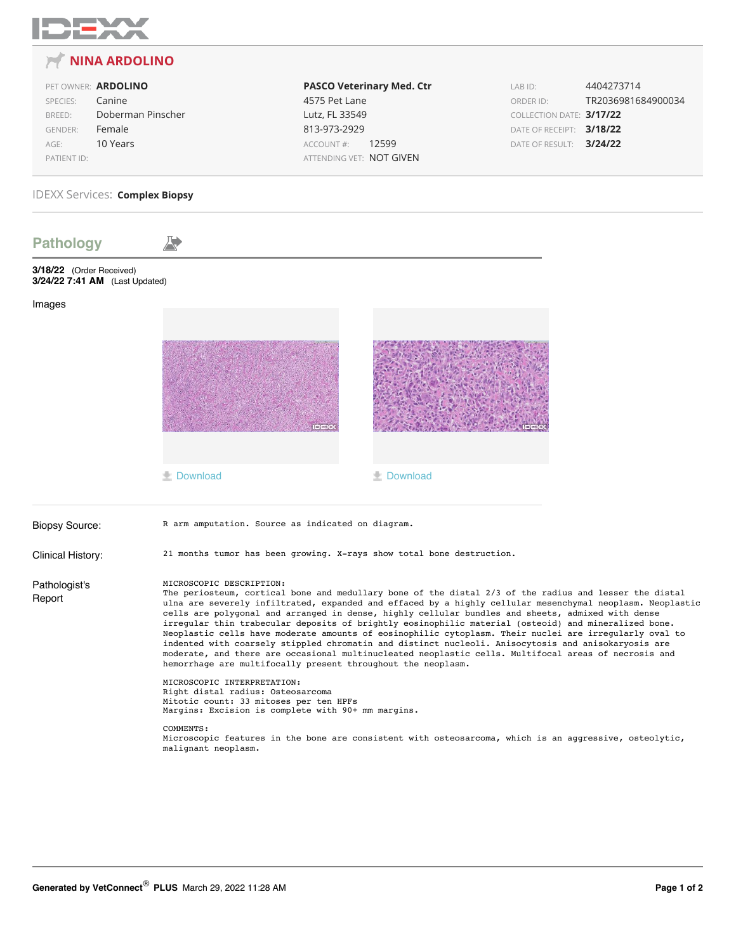

## **12** NINA ARDOLINO

|                | PET OWNER: ARDOLINO |
|----------------|---------------------|
| SPECIES:       | Canine              |
| BREED:         | Doberman Pinscher   |
| <b>GENDER:</b> | Female              |
| $AGF^*$        | 10 Years            |
| PATIENT ID:    |                     |

**PASCO Veterinary Med. Ctr** 4575 Pet Lane Lutz, FL 33549 813-973-2929 ACCOUNT #: 12599 ATTENDING VET: NOT GIVEN

LAB ID: 4404273714 ORDER ID: TR2036981684900034 COLLECTION DATE: 3/17/22 DATE OF RECEIPT: 3/18/22 DATE OF RESULT: 3/24/22

## **IDEXX Services: Complex Biopsy**

| <b>Pathology</b>                                                                                                                                                                                                                                                                                                                                                                                                                                                                                                                                                                                                                                                                                                                                                                                                                                                                                                                                                                                                                                     |                                                                       |                   |  |
|------------------------------------------------------------------------------------------------------------------------------------------------------------------------------------------------------------------------------------------------------------------------------------------------------------------------------------------------------------------------------------------------------------------------------------------------------------------------------------------------------------------------------------------------------------------------------------------------------------------------------------------------------------------------------------------------------------------------------------------------------------------------------------------------------------------------------------------------------------------------------------------------------------------------------------------------------------------------------------------------------------------------------------------------------|-----------------------------------------------------------------------|-------------------|--|
| 3/18/22 (Order Received)<br>3/24/22 7:41 AM (Last Updated)                                                                                                                                                                                                                                                                                                                                                                                                                                                                                                                                                                                                                                                                                                                                                                                                                                                                                                                                                                                           |                                                                       |                   |  |
| Images                                                                                                                                                                                                                                                                                                                                                                                                                                                                                                                                                                                                                                                                                                                                                                                                                                                                                                                                                                                                                                               |                                                                       |                   |  |
|                                                                                                                                                                                                                                                                                                                                                                                                                                                                                                                                                                                                                                                                                                                                                                                                                                                                                                                                                                                                                                                      |                                                                       |                   |  |
|                                                                                                                                                                                                                                                                                                                                                                                                                                                                                                                                                                                                                                                                                                                                                                                                                                                                                                                                                                                                                                                      | <b>L</b> Download                                                     | <b>L</b> Download |  |
| <b>Biopsy Source:</b>                                                                                                                                                                                                                                                                                                                                                                                                                                                                                                                                                                                                                                                                                                                                                                                                                                                                                                                                                                                                                                | R arm amputation. Source as indicated on diagram.                     |                   |  |
| Clinical History:                                                                                                                                                                                                                                                                                                                                                                                                                                                                                                                                                                                                                                                                                                                                                                                                                                                                                                                                                                                                                                    | 21 months tumor has been growing. X-rays show total bone destruction. |                   |  |
| MICROSCOPIC DESCRIPTION:<br>Pathologist's<br>The periosteum, cortical bone and medullary bone of the distal 2/3 of the radius and lesser the distal<br>Report<br>ulna are severely infiltrated, expanded and effaced by a highly cellular mesenchymal neoplasm. Neoplastic<br>cells are polygonal and arranged in dense, highly cellular bundles and sheets, admixed with dense<br>irregular thin trabecular deposits of brightly eosinophilic material (osteoid) and mineralized bone.<br>Neoplastic cells have moderate amounts of eosinophilic cytoplasm. Their nuclei are irregularly oval to<br>indented with coarsely stippled chromatin and distinct nucleoli. Anisocytosis and anisokaryosis are<br>moderate, and there are occasional multinucleated neoplastic cells. Multifocal areas of necrosis and<br>hemorrhage are multifocally present throughout the neoplasm.<br>MICROSCOPIC INTERPRETATION:<br>Right distal radius: Osteosarcoma<br>Mitotic count: 33 mitoses per ten HPFs<br>Margins: Excision is complete with 90+ mm margins. |                                                                       |                   |  |
|                                                                                                                                                                                                                                                                                                                                                                                                                                                                                                                                                                                                                                                                                                                                                                                                                                                                                                                                                                                                                                                      |                                                                       |                   |  |
|                                                                                                                                                                                                                                                                                                                                                                                                                                                                                                                                                                                                                                                                                                                                                                                                                                                                                                                                                                                                                                                      |                                                                       |                   |  |